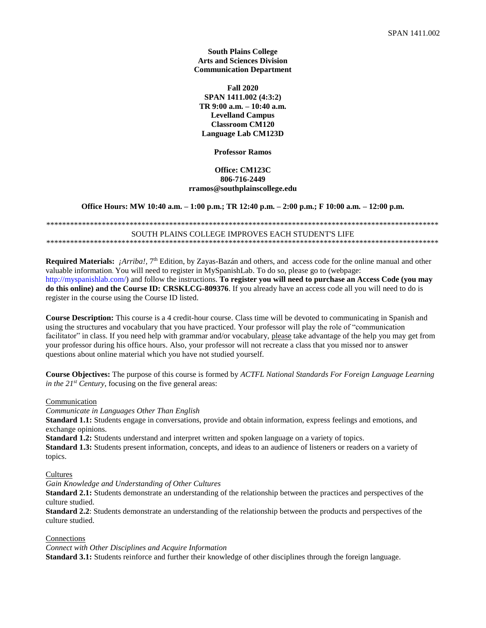**South Plains College Arts and Sciences Division Communication Department**

**Fall 2020 SPAN 1411.002 (4:3:2) TR 9:00 a.m. – 10:40 a.m. Levelland Campus Classroom CM120 Language Lab CM123D**

**Professor Ramos**

## **Office: CM123C 806-716-2449 rramos@southplainscollege.edu**

**Office Hours: MW 10:40 a.m. – 1:00 p.m.; TR 12:40 p.m. – 2:00 p.m.; F 10:00 a.m. – 12:00 p.m.** 

\*\*\*\*\*\*\*\*\*\*\*\*\*\*\*\*\*\*\*\*\*\*\*\*\*\*\*\*\*\*\*\*\*\*\*\*\*\*\*\*\*\*\*\*\*\*\*\*\*\*\*\*\*\*\*\*\*\*\*\*\*\*\*\*\*\*\*\*\*\*\*\*\*\*\*\*\*\*\*\*\*\*\*\*\*\*\*\*\*\*\*\*\*\*\*\*\*\*\* SOUTH PLAINS COLLEGE IMPROVES EACH STUDENT'S LIFE \*\*\*\*\*\*\*\*\*\*\*\*\*\*\*\*\*\*\*\*\*\*\*\*\*\*\*\*\*\*\*\*\*\*\*\*\*\*\*\*\*\*\*\*\*\*\*\*\*\*\*\*\*\*\*\*\*\*\*\*\*\*\*\*\*\*\*\*\*\*\*\*\*\*\*\*\*\*\*\*\*\*\*\*\*\*\*\*\*\*\*\*\*\*\*\*\*\*\*

Required Materials: *¡Arriba!*, 7<sup>th</sup> Edition, by Zayas-Bazán and others, and access code for the online manual and other valuable information. You will need to register in MySpanishLab. To do so, please go to (webpage: http://myspanishlab.com/) and follow the instructions. **To register you will need to purchase an Access Code (you may do this online) and the Course ID: CRSKLCG-809376**. If you already have an access code all you will need to do is register in the course using the Course ID listed.

**Course Description:** This course is a 4 credit-hour course. Class time will be devoted to communicating in Spanish and using the structures and vocabulary that you have practiced. Your professor will play the role of "communication facilitator" in class. If you need help with grammar and/or vocabulary, please take advantage of the help you may get from your professor during his office hours. Also, your professor will not recreate a class that you missed nor to answer questions about online material which you have not studied yourself.

**Course Objectives:** The purpose of this course is formed by *ACTFL National Standards For Foreign Language Learning in the 21st Century*, focusing on the five general areas:

Communication

*Communicate in Languages Other Than English*

**Standard 1.1:** Students engage in conversations, provide and obtain information, express feelings and emotions, and exchange opinions.

**Standard 1.2:** Students understand and interpret written and spoken language on a variety of topics.

**Standard 1.3:** Students present information, concepts, and ideas to an audience of listeners or readers on a variety of topics.

Cultures

*Gain Knowledge and Understanding of Other Cultures*

**Standard 2.1:** Students demonstrate an understanding of the relationship between the practices and perspectives of the culture studied.

**Standard 2.2**: Students demonstrate an understanding of the relationship between the products and perspectives of the culture studied.

Connections

*Connect with Other Disciplines and Acquire Information*

**Standard 3.1:** Students reinforce and further their knowledge of other disciplines through the foreign language.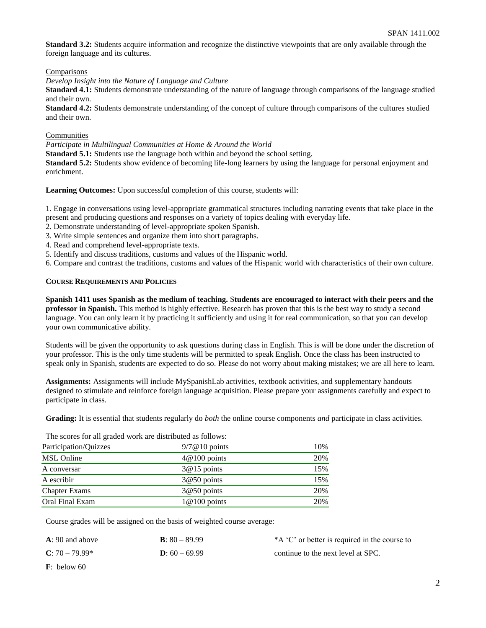**Standard 3.2:** Students acquire information and recognize the distinctive viewpoints that are only available through the foreign language and its cultures.

**Comparisons** 

*Develop Insight into the Nature of Language and Culture*

**Standard 4.1:** Students demonstrate understanding of the nature of language through comparisons of the language studied and their own.

**Standard 4.2:** Students demonstrate understanding of the concept of culture through comparisons of the cultures studied and their own.

## **Communities**

*Participate in Multilingual Communities at Home & Around the World*

**Standard 5.1:** Students use the language both within and beyond the school setting.

**Standard 5.2:** Students show evidence of becoming life-long learners by using the language for personal enjoyment and enrichment.

**Learning Outcomes:** Upon successful completion of this course, students will:

1. Engage in conversations using level-appropriate grammatical structures including narrating events that take place in the present and producing questions and responses on a variety of topics dealing with everyday life.

- 2. Demonstrate understanding of level-appropriate spoken Spanish.
- 3. Write simple sentences and organize them into short paragraphs.
- 4. Read and comprehend level-appropriate texts.
- 5. Identify and discuss traditions, customs and values of the Hispanic world.

6. Compare and contrast the traditions, customs and values of the Hispanic world with characteristics of their own culture.

## **COURSE REQUIREMENTS AND POLICIES**

**Spanish 1411 uses Spanish as the medium of teaching.** S**tudents are encouraged to interact with their peers and the professor in Spanish.** This method is highly effective. Research has proven that this is the best way to study a second language. You can only learn it by practicing it sufficiently and using it for real communication, so that you can develop your own communicative ability.

Students will be given the opportunity to ask questions during class in English. This is will be done under the discretion of your professor. This is the only time students will be permitted to speak English. Once the class has been instructed to speak only in Spanish, students are expected to do so. Please do not worry about making mistakes; we are all here to learn.

**Assignments:** Assignments will include MySpanishLab activities, textbook activities, and supplementary handouts designed to stimulate and reinforce foreign language acquisition. Please prepare your assignments carefully and expect to participate in class.

**Grading:** It is essential that students regularly do *both* the online course components *and* participate in class activities.

The scores for all graded work are distributed as follows:

| $9/7@10$ points | 10% |
|-----------------|-----|
| $4@100$ points  | 20% |
| $3@15$ points   | 15% |
| $3@50$ points   | 15% |
| $3@50$ points   | 20% |
| $1@100$ points  | 20% |
|                 |     |

Course grades will be assigned on the basis of weighted course average:

| $A: 90$ and above | <b>B</b> : $80 - 89.99$ | *A 'C' or better is required in the course to |
|-------------------|-------------------------|-----------------------------------------------|
| $C: 70 - 79.99*$  | $D: 60 - 69.99$         | continue to the next level at SPC.            |

**F**: below 60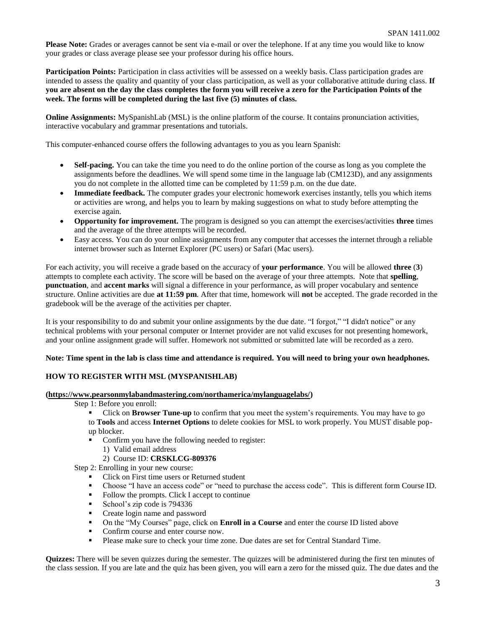**Please Note:** Grades or averages cannot be sent via e-mail or over the telephone. If at any time you would like to know your grades or class average please see your professor during his office hours.

**Participation Points:** Participation in class activities will be assessed on a weekly basis. Class participation grades are intended to assess the quality and quantity of your class participation, as well as your collaborative attitude during class. **If you are absent on the day the class completes the form you will receive a zero for the Participation Points of the week. The forms will be completed during the last five (5) minutes of class.**

**Online Assignments:** MySpanishLab (MSL) is the online platform of the course. It contains pronunciation activities, interactive vocabulary and grammar presentations and tutorials.

This computer-enhanced course offers the following advantages to you as you learn Spanish:

- **Self-pacing.** You can take the time you need to do the online portion of the course as long as you complete the assignments before the deadlines. We will spend some time in the language lab (CM123D), and any assignments you do not complete in the allotted time can be completed by 11:59 p.m. on the due date.
- **Immediate feedback.** The computer grades your electronic homework exercises instantly, tells you which items or activities are wrong, and helps you to learn by making suggestions on what to study before attempting the exercise again.
- **Opportunity for improvement.** The program is designed so you can attempt the exercises/activities **three** times and the average of the three attempts will be recorded.
- Easy access. You can do your online assignments from any computer that accesses the internet through a reliable internet browser such as Internet Explorer (PC users) or Safari (Mac users).

For each activity, you will receive a grade based on the accuracy of **your performance**. You will be allowed **three** (**3**) attempts to complete each activity. The score will be based on the average of your three attempts. Note that **spelling**, **punctuation**, and **accent marks** will signal a difference in your performance, as will proper vocabulary and sentence structure. Online activities are due **at 11:59 pm**. After that time, homework will **not** be accepted. The grade recorded in the gradebook will be the average of the activities per chapter.

It is your responsibility to do and submit your online assignments by the due date. "I forgot," "I didn't notice" or any technical problems with your personal computer or Internet provider are not valid excuses for not presenting homework, and your online assignment grade will suffer. Homework not submitted or submitted late will be recorded as a zero.

### **Note: Time spent in the lab is class time and attendance is required. You will need to bring your own headphones.**

## **HOW TO REGISTER WITH MSL (MYSPANISHLAB)**

## **[\(https://www.pearsonmylabandmastering.com/northamerica/mylanguagelabs/\)](https://www.pearsonmylabandmastering.com/northamerica/mylanguagelabs/)**

- Step 1: Before you enroll:
	- **•** Click on **Browser Tune-up** to confirm that you meet the system's requirements. You may have to go to **Tools** and access **Internet Options** to delete cookies for MSL to work properly. You MUST disable popup blocker.
	- Confirm you have the following needed to register:
		- 1) Valid email address
			- 2) Course ID: **CRSKLCG-809376**

Step 2: Enrolling in your new course:

- Click on First time users or Returned student
- Choose "I have an access code" or "need to purchase the access code". This is different form Course ID.
- Follow the prompts. Click I accept to continue
- School's zip code is 794336
- Create login name and password
- On the "My Courses" page, click on **Enroll in a Course** and enter the course ID listed above
- Confirm course and enter course now.
- Please make sure to check your time zone. Due dates are set for Central Standard Time.

**Quizzes:** There will be seven quizzes during the semester. The quizzes will be administered during the first ten minutes of the class session. If you are late and the quiz has been given, you will earn a zero for the missed quiz. The due dates and the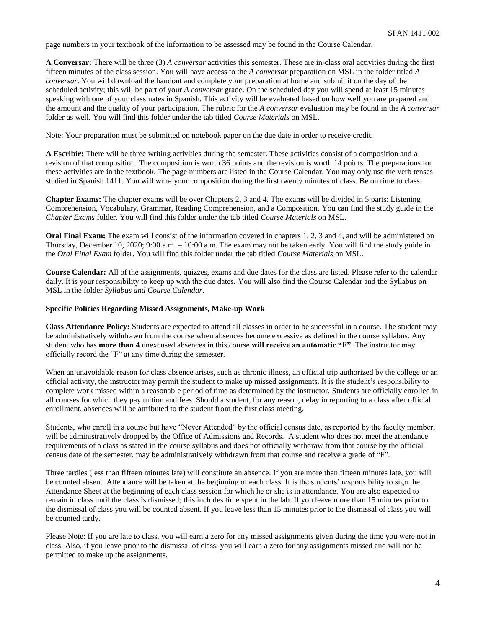page numbers in your textbook of the information to be assessed may be found in the Course Calendar.

**A Conversar:** There will be three (3) *A conversar* activities this semester. These are in-class oral activities during the first fifteen minutes of the class session. You will have access to the *A conversar* preparation on MSL in the folder titled *A conversar*. You will download the handout and complete your preparation at home and submit it on the day of the scheduled activity; this will be part of your *A conversar* grade. On the scheduled day you will spend at least 15 minutes speaking with one of your classmates in Spanish. This activity will be evaluated based on how well you are prepared and the amount and the quality of your participation. The rubric for the *A conversar* evaluation may be found in the *A conversar* folder as well. You will find this folder under the tab titled *Course Materials* on MSL.

Note: Your preparation must be submitted on notebook paper on the due date in order to receive credit.

**A Escribir:** There will be three writing activities during the semester. These activities consist of a composition and a revision of that composition. The composition is worth 36 points and the revision is worth 14 points. The preparations for these activities are in the textbook. The page numbers are listed in the Course Calendar. You may only use the verb tenses studied in Spanish 1411. You will write your composition during the first twenty minutes of class. Be on time to class.

**Chapter Exams:** The chapter exams will be over Chapters 2, 3 and 4. The exams will be divided in 5 parts: Listening Comprehension, Vocabulary, Grammar, Reading Comprehension, and a Composition. You can find the study guide in the *Chapter Exams* folder. You will find this folder under the tab titled *Course Materials* on MSL.

**Oral Final Exam:** The exam will consist of the information covered in chapters 1, 2, 3 and 4, and will be administered on Thursday, December 10, 2020; 9:00 a.m. – 10:00 a.m. The exam may not be taken early. You will find the study guide in the *Oral Final Exam* folder. You will find this folder under the tab titled *Course Materials* on MSL.

**Course Calendar:** All of the assignments, quizzes, exams and due dates for the class are listed. Please refer to the calendar daily. It is your responsibility to keep up with the due dates. You will also find the Course Calendar and the Syllabus on MSL in the folder *Syllabus and Course Calendar*.

### **Specific Policies Regarding Missed Assignments, Make-up Work**

**Class Attendance Policy:** Students are expected to attend all classes in order to be successful in a course. The student may be administratively withdrawn from the course when absences become excessive as defined in the course syllabus. Any student who has **more than 4** unexcused absences in this course **will receive an automatic "F"**. The instructor may officially record the "F" at any time during the semester.

When an unavoidable reason for class absence arises, such as chronic illness, an official trip authorized by the college or an official activity, the instructor may permit the student to make up missed assignments. It is the student's responsibility to complete work missed within a reasonable period of time as determined by the instructor. Students are officially enrolled in all courses for which they pay tuition and fees. Should a student, for any reason, delay in reporting to a class after official enrollment, absences will be attributed to the student from the first class meeting.

Students, who enroll in a course but have "Never Attended" by the official census date, as reported by the faculty member, will be administratively dropped by the Office of Admissions and Records. A student who does not meet the attendance requirements of a class as stated in the course syllabus and does not officially withdraw from that course by the official census date of the semester, may be administratively withdrawn from that course and receive a grade of "F".

Three tardies (less than fifteen minutes late) will constitute an absence. If you are more than fifteen minutes late, you will be counted absent. Attendance will be taken at the beginning of each class. It is the students' responsibility to sign the Attendance Sheet at the beginning of each class session for which he or she is in attendance. You are also expected to remain in class until the class is dismissed; this includes time spent in the lab. If you leave more than 15 minutes prior to the dismissal of class you will be counted absent. If you leave less than 15 minutes prior to the dismissal of class you will be counted tardy.

Please Note: If you are late to class, you will earn a zero for any missed assignments given during the time you were not in class. Also, if you leave prior to the dismissal of class, you will earn a zero for any assignments missed and will not be permitted to make up the assignments.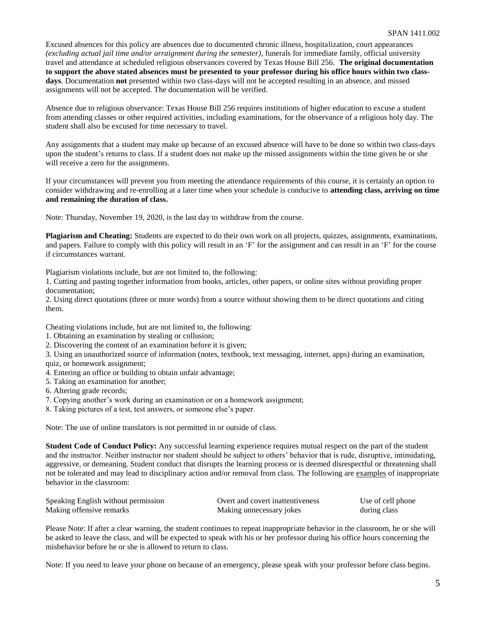Excused absences for this policy are absences due to documented chronic illness, hospitalization, court appearances *(excluding actual jail time and/or arraignment during the semester)*, funerals for immediate family, official university travel and attendance at scheduled religious observances covered by Texas House Bill 256. **The original documentation to support the above stated absences must be presented to your professor during his office hours within two classdays**. Documentation **not** presented within two class-days will not be accepted resulting in an absence, and missed assignments will not be accepted. The documentation will be verified.

Absence due to religious observance: Texas House Bill 256 requires institutions of higher education to excuse a student from attending classes or other required activities, including examinations, for the observance of a religious holy day. The student shall also be excused for time necessary to travel.

Any assignments that a student may make up because of an excused absence will have to be done so within two class-days upon the student's returns to class. If a student does not make up the missed assignments within the time given he or she will receive a zero for the assignments.

If your circumstances will prevent you from meeting the attendance requirements of this course, it is certainly an option to consider withdrawing and re-enrolling at a later time when your schedule is conducive to **attending class, arriving on time and remaining the duration of class.**

Note: Thursday, November 19, 2020, is the last day to withdraw from the course.

**Plagiarism and Cheating:** Students are expected to do their own work on all projects, quizzes, assignments, examinations, and papers. Failure to comply with this policy will result in an 'F' for the assignment and can result in an 'F' for the course if circumstances warrant.

Plagiarism violations include, but are not limited to, the following:

1. Cutting and pasting together information from books, articles, other papers, or online sites without providing proper documentation;

2. Using direct quotations (three or more words) from a source without showing them to be direct quotations and citing them.

Cheating violations include, but are not limited to, the following:

1. Obtaining an examination by stealing or collusion;

2. Discovering the content of an examination before it is given;

3. Using an unauthorized source of information (notes, textbook, text messaging, internet, apps) during an examination,

quiz, or homework assignment;

- 4. Entering an office or building to obtain unfair advantage;
- 5. Taking an examination for another;
- 6. Altering grade records;
- 7. Copying another's work during an examination or on a homework assignment;
- 8. Taking pictures of a test, test answers, or someone else's paper.

Note: The use of online translators is not permitted in or outside of class.

**Student Code of Conduct Policy:** Any successful learning experience requires mutual respect on the part of the student and the instructor. Neither instructor nor student should be subject to others' behavior that is rude, disruptive, intimidating, aggressive, or demeaning. Student conduct that disrupts the learning process or is deemed disrespectful or threatening shall not be tolerated and may lead to disciplinary action and/or removal from class. The following are examples of inappropriate behavior in the classroom:

| Speaking English without permission | Overt and covert inattentiveness | Use of cell phone |
|-------------------------------------|----------------------------------|-------------------|
| Making offensive remarks            | Making unnecessary jokes         | during class      |

Please Note: If after a clear warning, the student continues to repeat inappropriate behavior in the classroom, he or she will be asked to leave the class, and will be expected to speak with his or her professor during his office hours concerning the misbehavior before he or she is allowed to return to class.

Note: If you need to leave your phone on because of an emergency, please speak with your professor before class begins.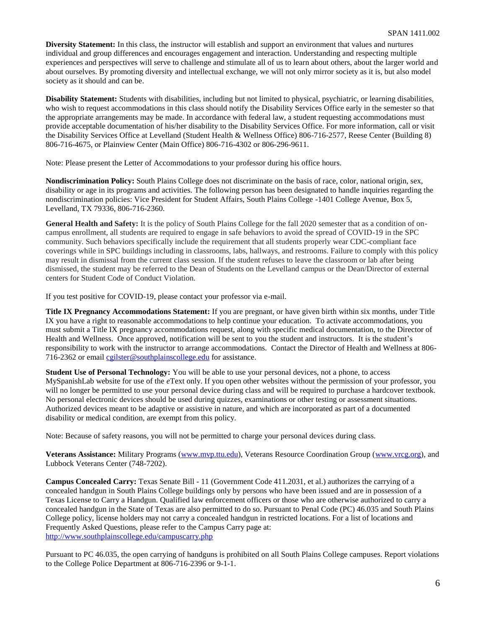**Diversity Statement:** In this class, the instructor will establish and support an environment that values and nurtures individual and group differences and encourages engagement and interaction. Understanding and respecting multiple experiences and perspectives will serve to challenge and stimulate all of us to learn about others, about the larger world and about ourselves. By promoting diversity and intellectual exchange, we will not only mirror society as it is, but also model society as it should and can be.

**Disability Statement:** Students with disabilities, including but not limited to physical, psychiatric, or learning disabilities, who wish to request accommodations in this class should notify the Disability Services Office early in the semester so that the appropriate arrangements may be made. In accordance with federal law, a student requesting accommodations must provide acceptable documentation of his/her disability to the Disability Services Office. For more information, call or visit the Disability Services Office at Levelland (Student Health & Wellness Office) 806-716-2577, Reese Center (Building 8) 806-716-4675, or Plainview Center (Main Office) 806-716-4302 or 806-296-9611.

Note: Please present the Letter of Accommodations to your professor during his office hours.

**Nondiscrimination Policy:** South Plains College does not discriminate on the basis of race, color, national origin, sex, disability or age in its programs and activities. The following person has been designated to handle inquiries regarding the nondiscrimination policies: Vice President for Student Affairs, South Plains College -1401 College Avenue, Box 5, Levelland, TX 79336, 806-716-2360.

**General Health and Safety:** It is the policy of South Plains College for the fall 2020 semester that as a condition of oncampus enrollment, all students are required to engage in safe behaviors to avoid the spread of COVID-19 in the SPC community. Such behaviors specifically include the requirement that all students properly wear CDC-compliant face coverings while in SPC buildings including in classrooms, labs, hallways, and restrooms. Failure to comply with this policy may result in dismissal from the current class session. If the student refuses to leave the classroom or lab after being dismissed, the student may be referred to the Dean of Students on the Levelland campus or the Dean/Director of external centers for Student Code of Conduct Violation.

If you test positive for COVID-19, please contact your professor via e-mail.

**Title IX Pregnancy Accommodations Statement:** If you are pregnant, or have given birth within six months, under Title IX you have a right to reasonable accommodations to help continue your education. To activate accommodations, you must submit a Title IX pregnancy accommodations request, along with specific medical documentation, to the Director of Health and Wellness. Once approved, notification will be sent to you the student and instructors. It is the student's responsibility to work with the instructor to arrange accommodations. Contact the Director of Health and Wellness at 806- 716-2362 or email [cgilster@southplainscollege.edu](mailto:cgilster@southplainscollege.edu) for assistance.

**Student Use of Personal Technology:** You will be able to use your personal devices, not a phone, to access MySpanishLab website for use of the *e*Text only. If you open other websites without the permission of your professor, you will no longer be permitted to use your personal device during class and will be required to purchase a hardcover textbook. No personal electronic devices should be used during quizzes, examinations or other testing or assessment situations. Authorized devices meant to be adaptive or assistive in nature, and which are incorporated as part of a documented disability or medical condition, are exempt from this policy.

Note: Because of safety reasons, you will not be permitted to charge your personal devices during class.

**Veterans Assistance:** Military Programs [\(www.mvp.ttu.edu\)](http://www.mvp.ttu.edu/), Veterans Resource Coordination Group [\(www.vrcg.org\)](http://www.vrcg.org/), and Lubbock Veterans Center (748-7202).

**Campus Concealed Carry:** Texas Senate Bill - 11 (Government Code 411.2031, et al.) authorizes the carrying of a concealed handgun in South Plains College buildings only by persons who have been issued and are in possession of a Texas License to Carry a Handgun. Qualified law enforcement officers or those who are otherwise authorized to carry a concealed handgun in the State of Texas are also permitted to do so. Pursuant to Penal Code (PC) 46.035 and South Plains College policy, license holders may not carry a concealed handgun in restricted locations. For a list of locations and Frequently Asked Questions, please refer to the Campus Carry page at: <http://www.southplainscollege.edu/campuscarry.php>

Pursuant to PC 46.035, the open carrying of handguns is prohibited on all South Plains College campuses. Report violations to the College Police Department at 806-716-2396 or 9-1-1.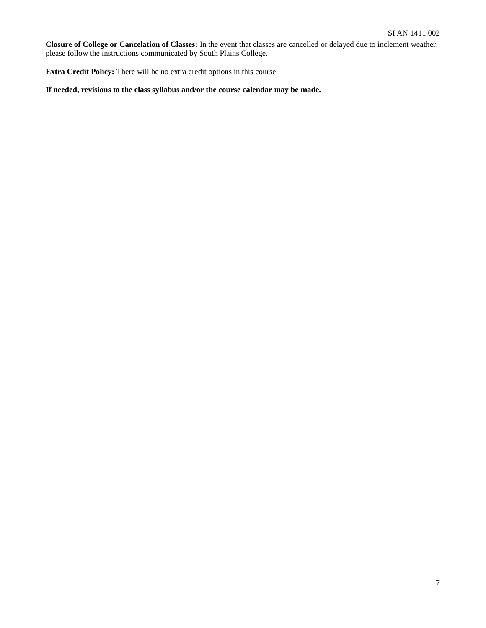**Closure of College or Cancelation of Classes:** In the event that classes are cancelled or delayed due to inclement weather, please follow the instructions communicated by South Plains College.

**Extra Credit Policy:** There will be no extra credit options in this course.

**If needed, revisions to the class syllabus and/or the course calendar may be made.**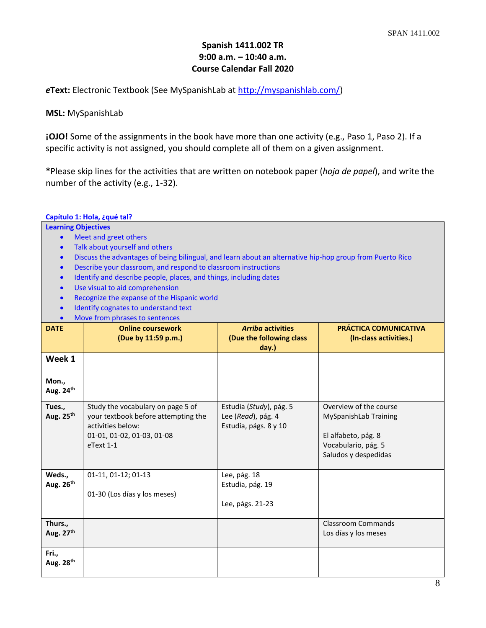# **Spanish 1411.002 TR 9:00 a.m. – 10:40 a.m. Course Calendar Fall 2020**

*e***Text:** Electronic Textbook (See MySpanishLab at [http://myspanishlab.com/\)](http://myspanishlab.com/)

# **MSL:** MySpanishLab

**¡OJO!** Some of the assignments in the book have more than one activity (e.g., Paso 1, Paso 2). If a specific activity is not assigned, you should complete all of them on a given assignment.

**\***Please skip lines for the activities that are written on notebook paper (*hoja de papel*), and write the number of the activity (e.g., 1-32).

## **Capítulo 1: Hola, ¿qué tal?**

- Meet and greet others
- Talk about yourself and others
- Discuss the advantages of being bilingual, and learn about an alternative hip-hop group from Puerto Rico
- Describe your classroom, and respond to classroom instructions
- Identify and describe people, places, and things, including dates
- Use visual to aid comprehension
- Recognize the expanse of the Hispanic world
- Identify cognates to understand text
- Move from phrases to sente

|                                | <b>INDUCTION DUTIES</b> to sentences                                                                                                        |                                                                        |                                                                                                                       |
|--------------------------------|---------------------------------------------------------------------------------------------------------------------------------------------|------------------------------------------------------------------------|-----------------------------------------------------------------------------------------------------------------------|
| <b>DATE</b>                    | <b>Online coursework</b><br>(Due by 11:59 p.m.)                                                                                             | <b>Arriba activities</b><br>(Due the following class<br>day.)          | <b>PRÁCTICA COMUNICATIVA</b><br>(In-class activities.)                                                                |
| Week 1                         |                                                                                                                                             |                                                                        |                                                                                                                       |
| Mon.,<br>Aug. 24 <sup>th</sup> |                                                                                                                                             |                                                                        |                                                                                                                       |
| Tues.,<br>Aug. 25th            | Study the vocabulary on page 5 of<br>your textbook before attempting the<br>activities below:<br>01-01, 01-02, 01-03, 01-08<br>$e$ Text 1-1 | Estudia (Study), pág. 5<br>Lee (Read), pág. 4<br>Estudia, págs. 8 y 10 | Overview of the course<br>MySpanishLab Training<br>El alfabeto, pág. 8<br>Vocabulario, pág. 5<br>Saludos y despedidas |
| Weds.,<br>Aug. $26th$          | 01-11, 01-12; 01-13<br>01-30 (Los días y los meses)                                                                                         | Lee, pág. 18<br>Estudia, pág. 19<br>Lee, págs. 21-23                   |                                                                                                                       |
| Thurs.,<br>Aug. 27th           |                                                                                                                                             |                                                                        | <b>Classroom Commands</b><br>Los días y los meses                                                                     |
| Fri.,<br>Aug. 28 <sup>th</sup> |                                                                                                                                             |                                                                        |                                                                                                                       |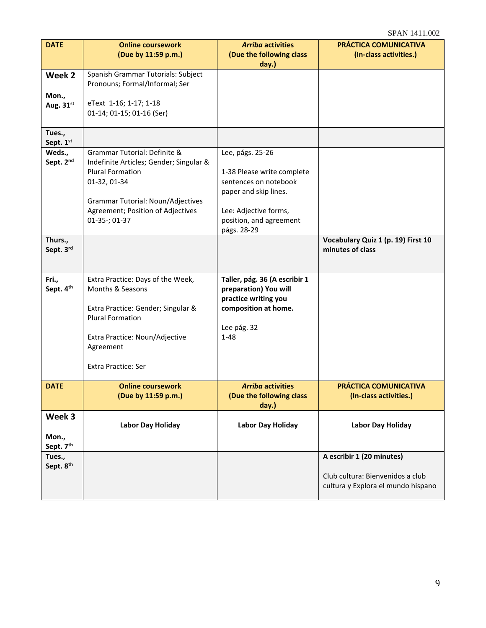| <b>DATE</b>                                 | <b>Online coursework</b><br>(Due by 11:59 p.m.)                                                                                                                                                               | <b>Arriba activities</b><br>(Due the following class<br>day.)                                                                                                       | PRÁCTICA COMUNICATIVA<br>(In-class activities.)                                                     |
|---------------------------------------------|---------------------------------------------------------------------------------------------------------------------------------------------------------------------------------------------------------------|---------------------------------------------------------------------------------------------------------------------------------------------------------------------|-----------------------------------------------------------------------------------------------------|
| Week 2<br>Mon.,<br>Aug. $31^{st}$           | Spanish Grammar Tutorials: Subject<br>Pronouns; Formal/Informal; Ser<br>eText 1-16; 1-17; 1-18<br>01-14; 01-15; 01-16 (Ser)                                                                                   |                                                                                                                                                                     |                                                                                                     |
| Tues.,<br>Sept. 1st                         |                                                                                                                                                                                                               |                                                                                                                                                                     |                                                                                                     |
| Weds.,<br>Sept. 2nd<br>Thurs.,<br>Sept. 3rd | Grammar Tutorial: Definite &<br>Indefinite Articles; Gender; Singular &<br><b>Plural Formation</b><br>01-32, 01-34<br>Grammar Tutorial: Noun/Adjectives<br>Agreement; Position of Adjectives<br>01-35-; 01-37 | Lee, págs. 25-26<br>1-38 Please write complete<br>sentences on notebook<br>paper and skip lines.<br>Lee: Adjective forms,<br>position, and agreement<br>págs. 28-29 | Vocabulary Quiz 1 (p. 19) First 10<br>minutes of class                                              |
|                                             |                                                                                                                                                                                                               |                                                                                                                                                                     |                                                                                                     |
| Fri.,<br>Sept. 4th                          | Extra Practice: Days of the Week,<br>Months & Seasons<br>Extra Practice: Gender; Singular &<br><b>Plural Formation</b><br>Extra Practice: Noun/Adjective<br>Agreement<br><b>Extra Practice: Ser</b>           | Taller, pág. 36 (A escribir 1<br>preparation) You will<br>practice writing you<br>composition at home.<br>Lee pág. 32<br>$1 - 48$                                   |                                                                                                     |
| <b>DATE</b>                                 | <b>Online coursework</b><br>(Due by 11:59 p.m.)                                                                                                                                                               | <b>Arriba activities</b><br>(Due the following class)<br>day.)                                                                                                      | PRÁCTICA COMUNICATIVA<br>(In-class activities.)                                                     |
| Week 3<br>Mon.,<br>Sept. 7th                | Labor Day Holiday                                                                                                                                                                                             | <b>Labor Day Holiday</b>                                                                                                                                            | <b>Labor Day Holiday</b>                                                                            |
| Tues.,<br>Sept. 8 <sup>th</sup>             |                                                                                                                                                                                                               |                                                                                                                                                                     | A escribir 1 (20 minutes)<br>Club cultura: Bienvenidos a club<br>cultura y Explora el mundo hispano |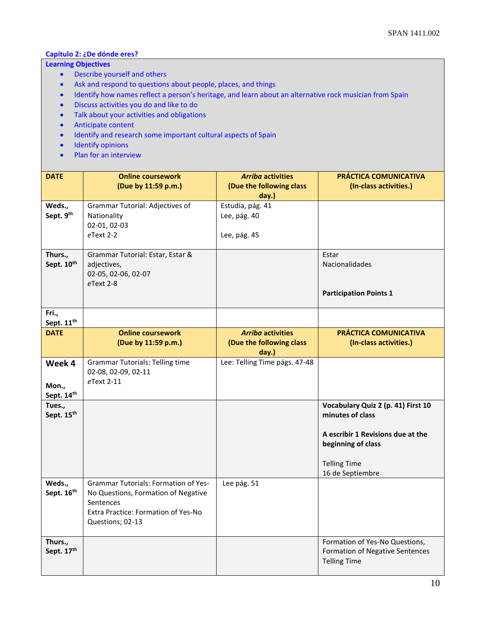# **Capítulo 2: ¿De dónde eres?**

- Describe yourself and others
- Ask and respond to questions about people, places, and things
- Identify how names reflect a person's heritage, and learn about an alternative rock musician from Spain
- Discuss activities you do and like to do
- Talk about your activities and obligations
- Anticipate content
- Identify and research some important cultural aspects of Spain
- Identify opinions
- Plan for an interview

| <b>DATE</b>                   | <b>Online coursework</b><br>(Due by 11:59 p.m.)                                                                                                            | <b>Arriba activities</b><br>(Due the following class<br>day.) | <b>PRÁCTICA COMUNICATIVA</b><br>(In-class activities.)                                                                                                       |
|-------------------------------|------------------------------------------------------------------------------------------------------------------------------------------------------------|---------------------------------------------------------------|--------------------------------------------------------------------------------------------------------------------------------------------------------------|
| Weds.,<br>Sept. 9th           | Grammar Tutorial: Adjectives of<br>Nationality<br>02-01, 02-03<br>$e$ Text 2-2                                                                             | Estudia, pág. 41<br>Lee, pág. 40<br>Lee, pág. 45              |                                                                                                                                                              |
| Thurs.,<br>Sept. 10th         | Grammar Tutorial: Estar, Estar &<br>adjectives,<br>02-05, 02-06, 02-07<br>eText 2-8                                                                        |                                                               | Estar<br>Nacionalidades<br><b>Participation Points 1</b>                                                                                                     |
| Fri.,<br>Sept. 11th           |                                                                                                                                                            |                                                               |                                                                                                                                                              |
| <b>DATE</b>                   | <b>Online coursework</b><br>(Due by 11:59 p.m.)                                                                                                            | <b>Arriba activities</b><br>(Due the following class<br>day.) | <b>PRÁCTICA COMUNICATIVA</b><br>(In-class activities.)                                                                                                       |
| Week 4<br>Mon.,<br>Sept. 14th | <b>Grammar Tutorials: Telling time</b><br>02-08, 02-09, 02-11<br>eText 2-11                                                                                | Lee: Telling Time págs. 47-48                                 |                                                                                                                                                              |
| Tues.,<br>Sept. 15th          |                                                                                                                                                            |                                                               | Vocabulary Quiz 2 (p. 41) First 10<br>minutes of class<br>A escribir 1 Revisions due at the<br>beginning of class<br><b>Telling Time</b><br>16 de Septiembre |
| Weds.,<br>Sept. 16th          | <b>Grammar Tutorials: Formation of Yes-</b><br>No Questions, Formation of Negative<br>Sentences<br>Extra Practice: Formation of Yes-No<br>Questions; 02-13 | Lee pág. 51                                                   |                                                                                                                                                              |
| Thurs.,<br>Sept. 17th         |                                                                                                                                                            |                                                               | Formation of Yes-No Questions,<br>Formation of Negative Sentences<br><b>Telling Time</b>                                                                     |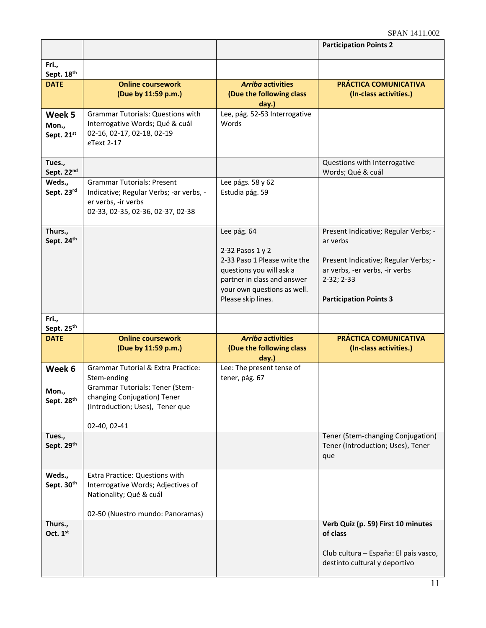|                                           |                                                                                                                                                                                   |                                                                                                                                                                                 | <b>Participation Points 2</b>                                                                                                                                               |
|-------------------------------------------|-----------------------------------------------------------------------------------------------------------------------------------------------------------------------------------|---------------------------------------------------------------------------------------------------------------------------------------------------------------------------------|-----------------------------------------------------------------------------------------------------------------------------------------------------------------------------|
| Fri.,<br>Sept. 18th                       |                                                                                                                                                                                   |                                                                                                                                                                                 |                                                                                                                                                                             |
| <b>DATE</b>                               | <b>Online coursework</b><br>(Due by 11:59 p.m.)                                                                                                                                   | <b>Arriba activities</b><br>(Due the following class<br>day.)                                                                                                                   | PRÁCTICA COMUNICATIVA<br>(In-class activities.)                                                                                                                             |
| Week 5<br>Mon.,<br>Sept. 21st             | <b>Grammar Tutorials: Questions with</b><br>Interrogative Words; Qué & cuál<br>02-16, 02-17, 02-18, 02-19<br>eText 2-17                                                           | Lee, pág. 52-53 Interrogative<br>Words                                                                                                                                          |                                                                                                                                                                             |
| Tues.,<br>Sept. 22nd                      |                                                                                                                                                                                   |                                                                                                                                                                                 | Questions with Interrogative<br>Words; Qué & cuál                                                                                                                           |
| Weds.,<br>Sept. 23rd                      | <b>Grammar Tutorials: Present</b><br>Indicative; Regular Verbs; -ar verbs, -<br>er verbs, -ir verbs<br>02-33, 02-35, 02-36, 02-37, 02-38                                          | Lee págs. 58 y 62<br>Estudia pág. 59                                                                                                                                            |                                                                                                                                                                             |
| Thurs.,<br>Sept. 24th                     |                                                                                                                                                                                   | Lee pág. 64<br>2-32 Pasos 1 y 2<br>2-33 Paso 1 Please write the<br>questions you will ask a<br>partner in class and answer<br>your own questions as well.<br>Please skip lines. | Present Indicative; Regular Verbs; -<br>ar verbs<br>Present Indicative; Regular Verbs; -<br>ar verbs, -er verbs, -ir verbs<br>$2-32; 2-33$<br><b>Participation Points 3</b> |
| Fri.,<br>Sept. 25th                       |                                                                                                                                                                                   |                                                                                                                                                                                 |                                                                                                                                                                             |
| <b>DATE</b>                               | <b>Online coursework</b><br>(Due by 11:59 p.m.)                                                                                                                                   | <b>Arriba activities</b><br>(Due the following class<br>day.)                                                                                                                   | PRÁCTICA COMUNICATIVA<br>(In-class activities.)                                                                                                                             |
| Week 6<br>Mon.,<br>Sept. 28 <sup>th</sup> | <b>Grammar Tutorial &amp; Extra Practice:</b><br>Stem-ending<br>Grammar Tutorials: Tener (Stem-<br>changing Conjugation) Tener<br>(Introduction; Uses), Tener que<br>02-40, 02-41 | Lee: The present tense of<br>tener, pág. 67                                                                                                                                     |                                                                                                                                                                             |
| Tues.,<br>Sept. 29th                      |                                                                                                                                                                                   |                                                                                                                                                                                 | Tener (Stem-changing Conjugation)<br>Tener (Introduction; Uses), Tener<br>que                                                                                               |
| Weds.,<br>Sept. 30th                      | Extra Practice: Questions with<br>Interrogative Words; Adjectives of<br>Nationality; Qué & cuál<br>02-50 (Nuestro mundo: Panoramas)                                               |                                                                                                                                                                                 |                                                                                                                                                                             |
| Thurs.,<br>Oct. $1st$                     |                                                                                                                                                                                   |                                                                                                                                                                                 | Verb Quiz (p. 59) First 10 minutes<br>of class<br>Club cultura - España: El país vasco,<br>destinto cultural y deportivo                                                    |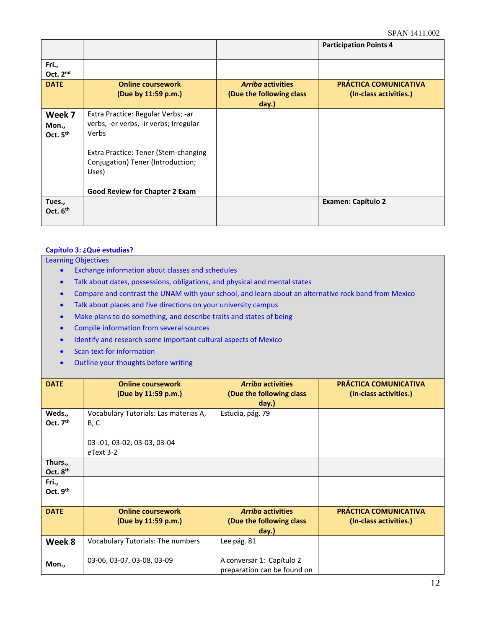|                                         |                                                                                       |                                                               | <b>Participation Points 4</b>                   |
|-----------------------------------------|---------------------------------------------------------------------------------------|---------------------------------------------------------------|-------------------------------------------------|
| Fri.,<br>Oct. 2 <sup>nd</sup>           |                                                                                       |                                                               |                                                 |
| <b>DATE</b>                             | <b>Online coursework</b><br>(Due by 11:59 p.m.)                                       | <b>Arriba activities</b><br>(Due the following class<br>day.) | PRÁCTICA COMUNICATIVA<br>(In-class activities.) |
| Week 7<br>Mon.,<br>Oct. 5 <sup>th</sup> | Extra Practice: Regular Verbs; -ar<br>verbs, -er verbs, -ir verbs; Irregular<br>Verbs |                                                               |                                                 |
|                                         | Extra Practice: Tener (Stem-changing<br>Conjugation) Tener (Introduction;<br>Uses)    |                                                               |                                                 |
|                                         | <b>Good Review for Chapter 2 Exam</b>                                                 |                                                               |                                                 |
| Tues.,<br>Oct. $6th$                    |                                                                                       |                                                               | <b>Examen: Capítulo 2</b>                       |

# **Capítulo 3: ¿Qué estudias?**

- Exchange information about classes and schedules
- Talk about dates, possessions, obligations, and physical and mental states
- Compare and contrast the UNAM with your school, and learn about an alternative rock band from Mexico
- Talk about places and five directions on your university campus
- Make plans to do something, and describe traits and states of being
- Compile information from several sources
- Identify and research some important cultural aspects of Mexico
- Scan text for information
- Outline your thoughts before writing

| <b>DATE</b>                   | <b>Online coursework</b><br>(Due by 11:59 p.m.)                                              | <b>Arriba activities</b><br>(Due the following class)<br>day.) | <b>PRÁCTICA COMUNICATIVA</b><br>(In-class activities.) |
|-------------------------------|----------------------------------------------------------------------------------------------|----------------------------------------------------------------|--------------------------------------------------------|
| Weds.,<br>Oct. $7th$          | Vocabulary Tutorials: Las materias A,<br>B, C<br>03-.01, 03-02, 03-03, 03-04<br>$e$ Text 3-2 | Estudia, pág. 79                                               |                                                        |
| Thurs.,<br>Oct. $8th$         |                                                                                              |                                                                |                                                        |
| Fri.,<br>Oct. 9 <sup>th</sup> |                                                                                              |                                                                |                                                        |
| <b>DATE</b>                   | <b>Online coursework</b><br>(Due by 11:59 p.m.)                                              | <b>Arriba activities</b><br>(Due the following class)<br>day.) | <b>PRÁCTICA COMUNICATIVA</b><br>(In-class activities.) |
| Week 8                        | <b>Vocabulary Tutorials: The numbers</b>                                                     | Lee pág. 81                                                    |                                                        |
| Mon.,                         | 03-06, 03-07, 03-08, 03-09                                                                   | A conversar 1: Capítulo 2<br>preparation can be found on       |                                                        |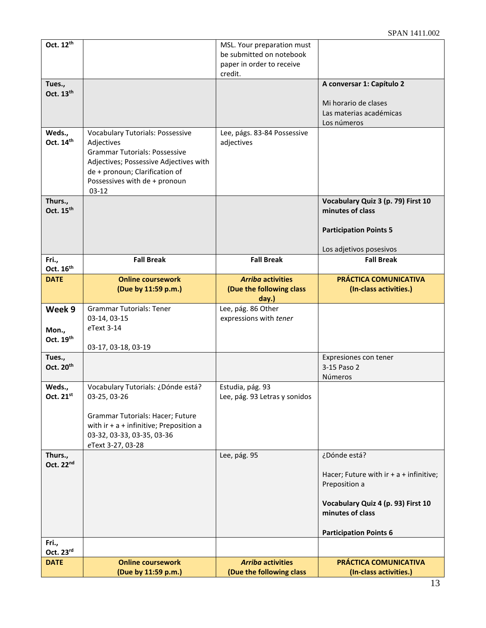| Oct. 12 <sup>th</sup>          |                                                                                                                                                                                                                       | MSL. Your preparation must<br>be submitted on notebook<br>paper in order to receive<br>credit. |                                                                                                                                      |
|--------------------------------|-----------------------------------------------------------------------------------------------------------------------------------------------------------------------------------------------------------------------|------------------------------------------------------------------------------------------------|--------------------------------------------------------------------------------------------------------------------------------------|
| Tues.,                         |                                                                                                                                                                                                                       |                                                                                                | A conversar 1: Capítulo 2                                                                                                            |
| Oct. 13th                      |                                                                                                                                                                                                                       |                                                                                                | Mi horario de clases<br>Las materias académicas<br>Los números                                                                       |
| Weds.,<br>Oct. 14th            | <b>Vocabulary Tutorials: Possessive</b><br>Adjectives<br><b>Grammar Tutorials: Possessive</b><br>Adjectives; Possessive Adjectives with<br>de + pronoun; Clarification of<br>Possessives with de + pronoun<br>$03-12$ | Lee, págs. 83-84 Possessive<br>adjectives                                                      |                                                                                                                                      |
| Thurs.,<br>Oct. 15th           |                                                                                                                                                                                                                       |                                                                                                | Vocabulary Quiz 3 (p. 79) First 10<br>minutes of class<br><b>Participation Points 5</b>                                              |
|                                |                                                                                                                                                                                                                       |                                                                                                | Los adjetivos posesivos                                                                                                              |
| Fri.,<br>Oct. 16 <sup>th</sup> | <b>Fall Break</b>                                                                                                                                                                                                     | <b>Fall Break</b>                                                                              | <b>Fall Break</b>                                                                                                                    |
| <b>DATE</b>                    | <b>Online coursework</b><br>(Due by 11:59 p.m.)                                                                                                                                                                       | <b>Arriba activities</b><br>(Due the following class<br>day.)                                  | <b>PRÁCTICA COMUNICATIVA</b><br>(In-class activities.)                                                                               |
| Week 9<br>Mon.,<br>Oct. 19th   | <b>Grammar Tutorials: Tener</b><br>03-14, 03-15<br>eText 3-14<br>03-17, 03-18, 03-19                                                                                                                                  | Lee, pág. 86 Other<br>expressions with tener                                                   |                                                                                                                                      |
| Tues.,<br>Oct. 20th            |                                                                                                                                                                                                                       |                                                                                                | Expresiones con tener<br>3-15 Paso 2<br>Números                                                                                      |
| Weds.,<br>Oct. $21^{st}$       | Vocabulary Tutorials: ¿Dónde está?<br>03-25, 03-26                                                                                                                                                                    | Estudia, pág. 93                                                                               |                                                                                                                                      |
|                                | Grammar Tutorials: Hacer; Future<br>with $ir + a +$ infinitive; Preposition a<br>03-32, 03-33, 03-35, 03-36                                                                                                           | Lee, pág. 93 Letras y sonidos                                                                  |                                                                                                                                      |
| Thurs.,<br>Oct. 22nd           | eText 3-27, 03-28                                                                                                                                                                                                     | Lee, pág. 95                                                                                   | ¿Dónde está?<br>Hacer; Future with $ir + a +$ infinitive;<br>Preposition a<br>Vocabulary Quiz 4 (p. 93) First 10<br>minutes of class |
| Fri.,                          |                                                                                                                                                                                                                       |                                                                                                | <b>Participation Points 6</b>                                                                                                        |
| Oct. 23rd<br><b>DATE</b>       | <b>Online coursework</b>                                                                                                                                                                                              | <b>Arriba activities</b>                                                                       | PRÁCTICA COMUNICATIVA                                                                                                                |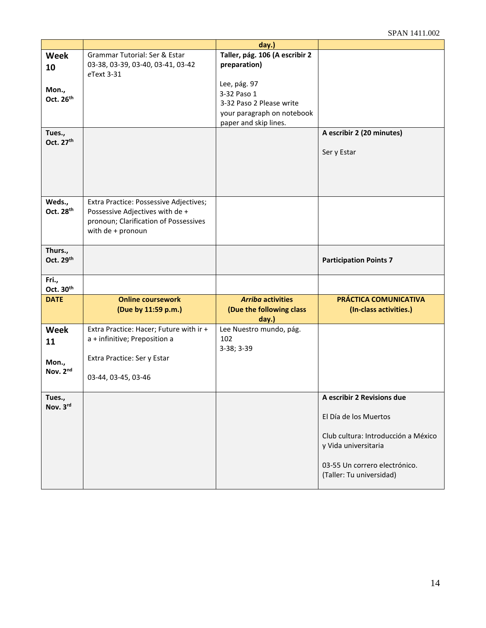|                                 |                                                                                                                                         | day.)                                                                                                          |                                                                                                                                                                                 |
|---------------------------------|-----------------------------------------------------------------------------------------------------------------------------------------|----------------------------------------------------------------------------------------------------------------|---------------------------------------------------------------------------------------------------------------------------------------------------------------------------------|
| <b>Week</b><br>10               | Grammar Tutorial: Ser & Estar<br>03-38, 03-39, 03-40, 03-41, 03-42<br>eText 3-31                                                        | Taller, pág. 106 (A escribir 2<br>preparation)                                                                 |                                                                                                                                                                                 |
| Mon.,<br>Oct. 26 <sup>th</sup>  |                                                                                                                                         | Lee, pág. 97<br>3-32 Paso 1<br>3-32 Paso 2 Please write<br>your paragraph on notebook<br>paper and skip lines. |                                                                                                                                                                                 |
| Tues.,<br>Oct. 27 <sup>th</sup> |                                                                                                                                         |                                                                                                                | A escribir 2 (20 minutes)<br>Ser y Estar                                                                                                                                        |
| Weds.,<br>Oct. 28th             | Extra Practice: Possessive Adjectives;<br>Possessive Adjectives with de +<br>pronoun; Clarification of Possessives<br>with de + pronoun |                                                                                                                |                                                                                                                                                                                 |
| Thurs.,<br>Oct. 29th            |                                                                                                                                         |                                                                                                                | <b>Participation Points 7</b>                                                                                                                                                   |
| Fri.,<br>Oct. 30 <sup>th</sup>  |                                                                                                                                         |                                                                                                                |                                                                                                                                                                                 |
| <b>DATE</b>                     | <b>Online coursework</b><br>(Due by 11:59 p.m.)                                                                                         | <b>Arriba activities</b><br>(Due the following class<br>day.)                                                  | PRÁCTICA COMUNICATIVA<br>(In-class activities.)                                                                                                                                 |
| <b>Week</b><br>11               | Extra Practice: Hacer; Future with ir +<br>a + infinitive; Preposition a                                                                | Lee Nuestro mundo, pág.<br>102<br>3-38; 3-39                                                                   |                                                                                                                                                                                 |
| Mon.,<br>Nov. 2nd               | Extra Practice: Ser y Estar<br>03-44, 03-45, 03-46                                                                                      |                                                                                                                |                                                                                                                                                                                 |
| Tues.,<br>Nov. 3rd              |                                                                                                                                         |                                                                                                                | A escribir 2 Revisions due<br>El Día de los Muertos<br>Club cultura: Introducción a México<br>y Vida universitaria<br>03-55 Un correro electrónico.<br>(Taller: Tu universidad) |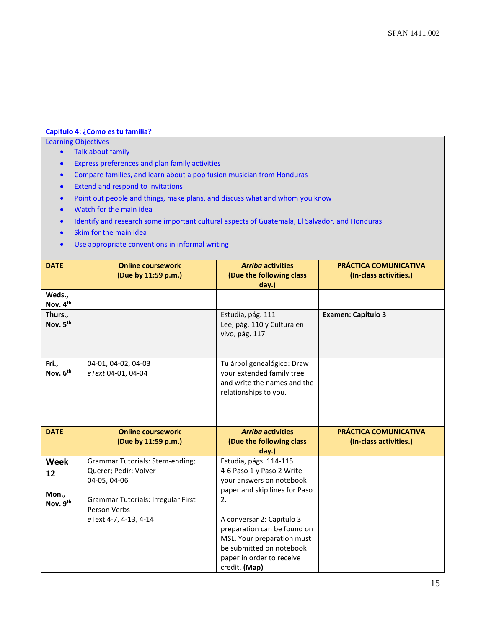# **Capítulo 4: ¿Cómo es tu familia?**

- Talk about family
- Express preferences and plan family activities
- Compare families, and learn about a pop fusion musician from Honduras
- Extend and respond to invitations
- Point out people and things, make plans, and discuss what and whom you know
- Watch for the main idea
- Identify and research some important cultural aspects of Guatemala, El Salvador, and Honduras
- Skim for the main idea
- Use appropriate conventions in informal writing

| <b>DATE</b>                            | <b>Online coursework</b><br>(Due by 11:59 p.m.)                                                                                              | <b>Arriba activities</b><br>(Due the following class<br>day.)                                                                                                    | PRÁCTICA COMUNICATIVA<br>(In-class activities.) |
|----------------------------------------|----------------------------------------------------------------------------------------------------------------------------------------------|------------------------------------------------------------------------------------------------------------------------------------------------------------------|-------------------------------------------------|
| Weds.,<br>Nov. 4th                     |                                                                                                                                              |                                                                                                                                                                  |                                                 |
| Thurs.,<br>Nov. 5 <sup>th</sup>        |                                                                                                                                              | Estudia, pág. 111<br>Lee, pág. 110 y Cultura en<br>vivo, pág. 117                                                                                                | <b>Examen: Capítulo 3</b>                       |
| Fri.,<br>Nov. 6 <sup>th</sup>          | 04-01, 04-02, 04-03<br>eText 04-01, 04-04                                                                                                    | Tu árbol genealógico: Draw<br>your extended family tree<br>and write the names and the<br>relationships to you.                                                  |                                                 |
| <b>DATE</b>                            | <b>Online coursework</b>                                                                                                                     | <b>Arriba activities</b>                                                                                                                                         | PRÁCTICA COMUNICATIVA                           |
|                                        | (Due by 11:59 p.m.)                                                                                                                          | (Due the following class<br>day.)                                                                                                                                | (In-class activities.)                          |
| <b>Week</b><br>12<br>Mon.,<br>Nov. 9th | <b>Grammar Tutorials: Stem-ending;</b><br>Querer; Pedir; Volver<br>04-05, 04-06<br><b>Grammar Tutorials: Irregular First</b><br>Person Verbs | Estudia, págs. 114-115<br>4-6 Paso 1 y Paso 2 Write<br>your answers on notebook<br>paper and skip lines for Paso<br>2.                                           |                                                 |
|                                        | eText 4-7, 4-13, 4-14                                                                                                                        | A conversar 2: Capítulo 3<br>preparation can be found on<br>MSL. Your preparation must<br>be submitted on notebook<br>paper in order to receive<br>credit. (Map) |                                                 |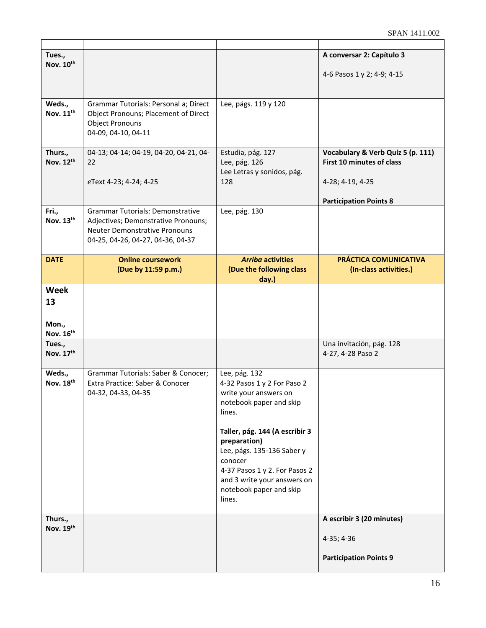| Tues.,<br>Nov. 10th                     |                                                                                                                                                             |                                                                                                                                                                                                                                                                                                            | A conversar 2: Capítulo 3<br>4-6 Pasos 1 y 2; 4-9; 4-15                                                             |
|-----------------------------------------|-------------------------------------------------------------------------------------------------------------------------------------------------------------|------------------------------------------------------------------------------------------------------------------------------------------------------------------------------------------------------------------------------------------------------------------------------------------------------------|---------------------------------------------------------------------------------------------------------------------|
| Weds.,<br>Nov. 11 <sup>th</sup>         | Grammar Tutorials: Personal a; Direct<br>Object Pronouns; Placement of Direct<br><b>Object Pronouns</b><br>04-09, 04-10, 04-11                              | Lee, págs. 119 y 120                                                                                                                                                                                                                                                                                       |                                                                                                                     |
| Thurs.,<br>Nov. 12th                    | 04-13; 04-14; 04-19, 04-20, 04-21, 04-<br>22<br>eText 4-23; 4-24; 4-25                                                                                      | Estudia, pág. 127<br>Lee, pág. 126<br>Lee Letras y sonidos, pág.<br>128                                                                                                                                                                                                                                    | Vocabulary & Verb Quiz 5 (p. 111)<br>First 10 minutes of class<br>4-28; 4-19, 4-25<br><b>Participation Points 8</b> |
| Fri.,<br>Nov. 13th                      | <b>Grammar Tutorials: Demonstrative</b><br>Adjectives; Demonstrative Pronouns;<br><b>Neuter Demonstrative Pronouns</b><br>04-25, 04-26, 04-27, 04-36, 04-37 | Lee, pág. 130                                                                                                                                                                                                                                                                                              |                                                                                                                     |
| <b>DATE</b>                             | <b>Online coursework</b><br>(Due by 11:59 p.m.)                                                                                                             | <b>Arriba activities</b><br>(Due the following class<br>day.)                                                                                                                                                                                                                                              | PRÁCTICA COMUNICATIVA<br>(In-class activities.)                                                                     |
| <b>Week</b><br>13<br>Mon.,<br>Nov. 16th |                                                                                                                                                             |                                                                                                                                                                                                                                                                                                            |                                                                                                                     |
| Tues.,<br>Nov. 17th                     |                                                                                                                                                             |                                                                                                                                                                                                                                                                                                            | Una invitación, pág. 128<br>4-27, 4-28 Paso 2                                                                       |
| Weds.,<br>Nov. 18th                     | Grammar Tutorials: Saber & Conocer;<br>Extra Practice: Saber & Conocer<br>04-32, 04-33, 04-35                                                               | Lee, pág. 132<br>4-32 Pasos 1 y 2 For Paso 2<br>write your answers on<br>notebook paper and skip<br>lines.<br>Taller, pág. 144 (A escribir 3<br>preparation)<br>Lee, págs. 135-136 Saber y<br>conocer<br>4-37 Pasos 1 y 2. For Pasos 2<br>and 3 write your answers on<br>notebook paper and skip<br>lines. |                                                                                                                     |
| Thurs.,<br>Nov. 19th                    |                                                                                                                                                             |                                                                                                                                                                                                                                                                                                            | A escribir 3 (20 minutes)<br>4-35; 4-36<br><b>Participation Points 9</b>                                            |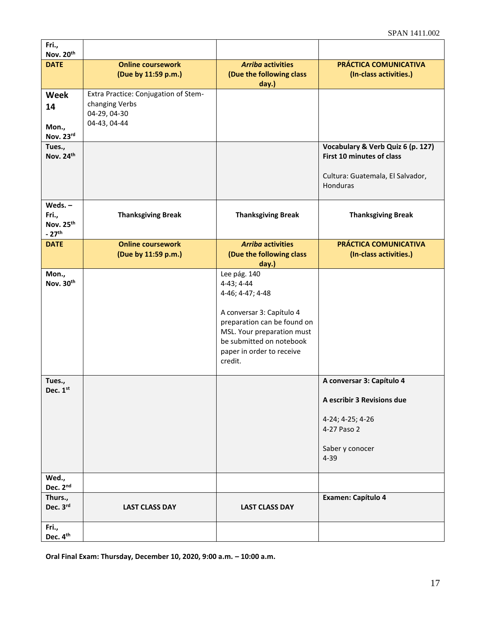| Fri.,<br>Nov. 20th                                     |                                                                                        |                                                                                                                                                                                                              |                                                                                                                           |
|--------------------------------------------------------|----------------------------------------------------------------------------------------|--------------------------------------------------------------------------------------------------------------------------------------------------------------------------------------------------------------|---------------------------------------------------------------------------------------------------------------------------|
| <b>DATE</b>                                            | <b>Online coursework</b><br>(Due by 11:59 p.m.)                                        | <b>Arriba activities</b><br>(Due the following class                                                                                                                                                         | PRÁCTICA COMUNICATIVA<br>(In-class activities.)                                                                           |
| Week<br>14<br>Mon.,                                    | Extra Practice: Conjugation of Stem-<br>changing Verbs<br>04-29, 04-30<br>04-43, 04-44 | day.)                                                                                                                                                                                                        |                                                                                                                           |
| Nov. 23rd                                              |                                                                                        |                                                                                                                                                                                                              |                                                                                                                           |
| Tues.,<br>Nov. 24th                                    |                                                                                        |                                                                                                                                                                                                              | Vocabulary & Verb Quiz 6 (p. 127)<br><b>First 10 minutes of class</b><br>Cultura: Guatemala, El Salvador,<br>Honduras     |
| Weds. $-$<br>Fri.,<br>Nov. 25th<br>$-27$ <sup>th</sup> | <b>Thanksgiving Break</b>                                                              | <b>Thanksgiving Break</b>                                                                                                                                                                                    | <b>Thanksgiving Break</b>                                                                                                 |
| <b>DATE</b>                                            | <b>Online coursework</b><br>(Due by 11:59 p.m.)                                        | <b>Arriba activities</b><br>(Due the following class<br>day.)                                                                                                                                                | PRÁCTICA COMUNICATIVA<br>(In-class activities.)                                                                           |
| Mon.,<br>Nov. 30th                                     |                                                                                        | Lee pág. 140<br>4-43; 4-44<br>4-46; 4-47; 4-48<br>A conversar 3: Capítulo 4<br>preparation can be found on<br>MSL. Your preparation must<br>be submitted on notebook<br>paper in order to receive<br>credit. |                                                                                                                           |
| Tues.,<br>Dec. 1st                                     |                                                                                        |                                                                                                                                                                                                              | A conversar 3: Capítulo 4<br>A escribir 3 Revisions due<br>4-24; 4-25; 4-26<br>4-27 Paso 2<br>Saber y conocer<br>$4 - 39$ |
| Wed.,<br>Dec. 2nd                                      |                                                                                        |                                                                                                                                                                                                              |                                                                                                                           |
| Thurs.,<br>Dec. 3rd                                    | <b>LAST CLASS DAY</b>                                                                  | <b>LAST CLASS DAY</b>                                                                                                                                                                                        | Examen: Capítulo 4                                                                                                        |
| Fri.,<br>Dec. 4th                                      |                                                                                        |                                                                                                                                                                                                              |                                                                                                                           |

**Oral Final Exam: Thursday, December 10, 2020, 9:00 a.m. – 10:00 a.m.**